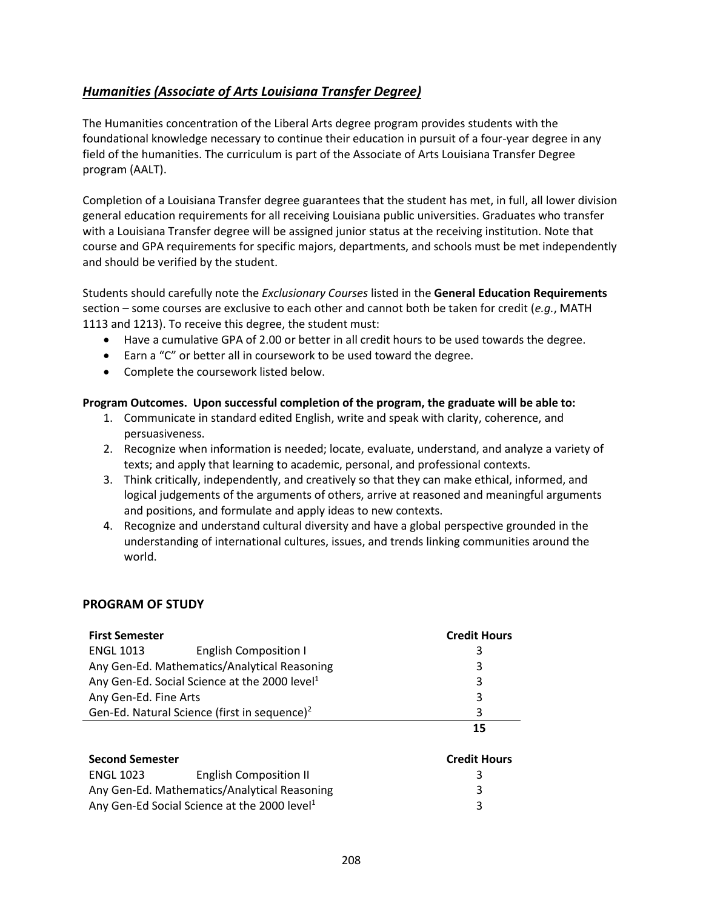## <span id="page-0-0"></span>*[Humanities \(Associate of Arts Louisiana](#page-0-0) Transfer Degree)*

The Humanities concentration of the Liberal Arts degree program provides students with the foundational knowledge necessary to continue their education in pursuit of a four-year degree in any field of the humanities. The curriculum is part of the Associate of Arts Louisiana Transfer Degree program (AALT).

Completion of a Louisiana Transfer degree guarantees that the student has met, in full, all lower division general education requirements for all receiving Louisiana public universities. Graduates who transfer with a Louisiana Transfer degree will be assigned junior status at the receiving institution. Note that course and GPA requirements for specific majors, departments, and schools must be met independently and should be verified by the student.

Students should carefully note the *Exclusionary Courses* listed in the **General Education Requirements** section – some courses are exclusive to each other and cannot both be taken for credit (*e.g.*, MATH 1113 and 1213). To receive this degree, the student must:

- Have a cumulative GPA of 2.00 or better in all credit hours to be used towards the degree.
- Earn a "C" or better all in coursework to be used toward the degree.
- Complete the coursework listed below.

## **Program Outcomes. Upon successful completion of the program, the graduate will be able to:**

- 1. Communicate in standard edited English, write and speak with clarity, coherence, and persuasiveness.
- 2. Recognize when information is needed; locate, evaluate, understand, and analyze a variety of texts; and apply that learning to academic, personal, and professional contexts.
- 3. Think critically, independently, and creatively so that they can make ethical, informed, and logical judgements of the arguments of others, arrive at reasoned and meaningful arguments and positions, and formulate and apply ideas to new contexts.
- 4. Recognize and understand cultural diversity and have a global perspective grounded in the understanding of international cultures, issues, and trends linking communities around the world.

## **PROGRAM OF STUDY**

| <b>First Semester</b>                                     |                               | <b>Credit Hours</b> |
|-----------------------------------------------------------|-------------------------------|---------------------|
| <b>ENGL 1013</b>                                          | <b>English Composition I</b>  | 3                   |
| Any Gen-Ed. Mathematics/Analytical Reasoning              |                               | 3                   |
| Any Gen-Ed. Social Science at the 2000 level <sup>1</sup> | 3                             |                     |
| Any Gen-Ed. Fine Arts                                     | 3                             |                     |
| Gen-Ed. Natural Science (first in sequence) <sup>2</sup>  |                               | 3                   |
|                                                           |                               | 15                  |
| <b>Second Semester</b>                                    |                               | <b>Credit Hours</b> |
| <b>ENGL 1023</b>                                          | <b>English Composition II</b> | 3                   |
| Any Gen-Ed. Mathematics/Analytical Reasoning              |                               | 3                   |
| Any Gen-Ed Social Science at the 2000 level <sup>1</sup>  |                               |                     |